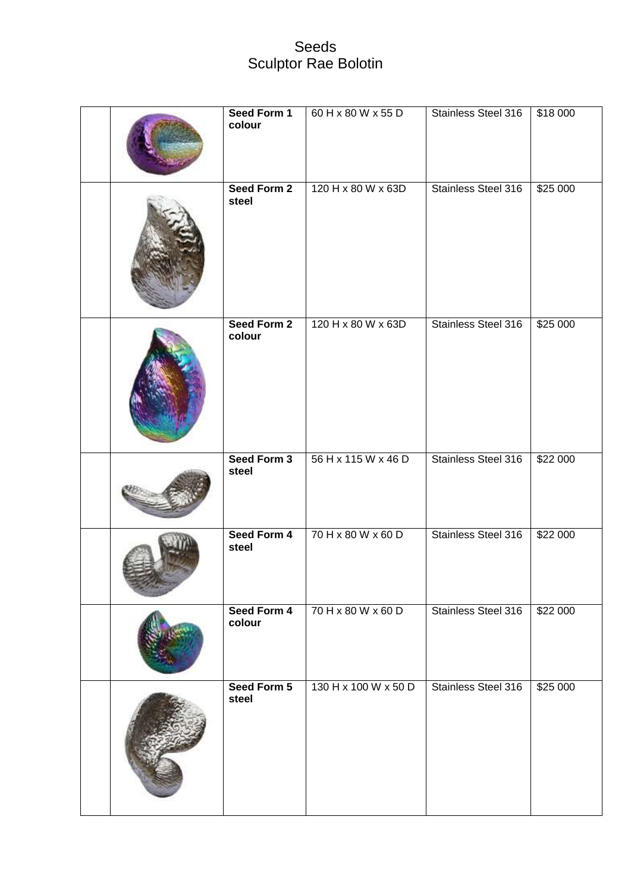## Seeds Sculptor Rae Bolotin

|  | Seed Form 1<br>colour | 60 H x 80 W x 55 D   | Stainless Steel 316        | \$18 000 |
|--|-----------------------|----------------------|----------------------------|----------|
|  | Seed Form 2<br>steel  | 120 H x 80 W x 63D   | Stainless Steel 316        | \$25 000 |
|  | Seed Form 2<br>colour | 120 H x 80 W x 63D   | Stainless Steel 316        | \$25000  |
|  | Seed Form 3<br>steel  | 56 H x 115 W x 46 D  | Stainless Steel 316        | \$22 000 |
|  | Seed Form 4<br>steel  | 70 H x 80 W x 60 D   | Stainless Steel 316        | \$22 000 |
|  | Seed Form 4<br>colour | 70 H x 80 W x 60 D   | <b>Stainless Steel 316</b> | \$22 000 |
|  | Seed Form 5<br>steel  | 130 H x 100 W x 50 D | Stainless Steel 316        | \$25 000 |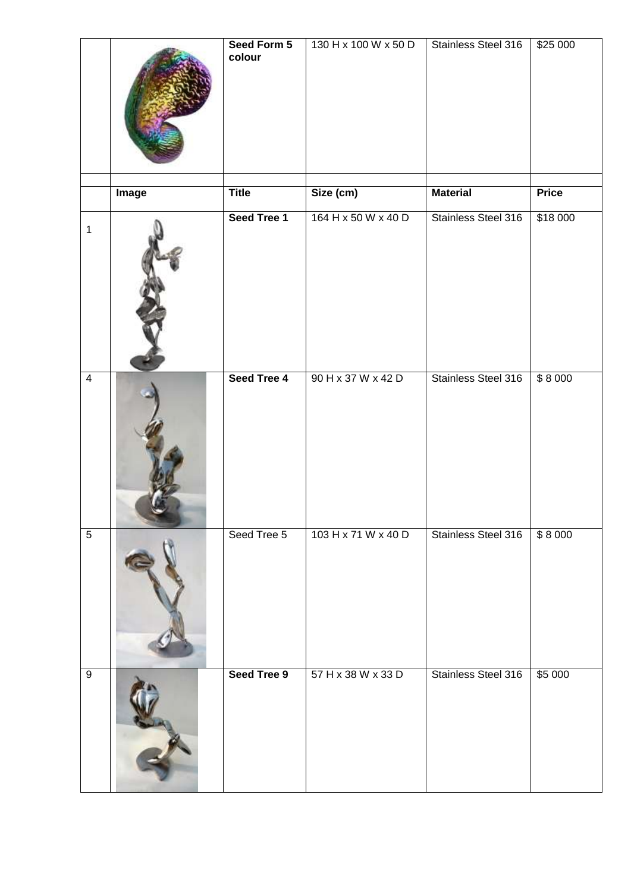|                  |              | Seed Form 5<br>colour | 130 H x 100 W x 50 D | Stainless Steel 316 | \$25 000     |
|------------------|--------------|-----------------------|----------------------|---------------------|--------------|
|                  | <b>Image</b> | <b>Title</b>          | Size (cm)            | <b>Material</b>     | <b>Price</b> |
| $\mathbf{1}$     |              | Seed Tree 1           | 164 H x 50 W x 40 D  | Stainless Steel 316 | \$18 000     |
| $\overline{4}$   |              | Seed Tree 4           | 90 H x 37 W x 42 D   | Stainless Steel 316 | \$8000       |
| $\overline{5}$   |              | Seed Tree 5           | 103 H x 71 W x 40 D  | Stainless Steel 316 | \$8000       |
| $\boldsymbol{9}$ |              | Seed Tree 9           | 57 H x 38 W x 33 D   | Stainless Steel 316 | \$5 000      |